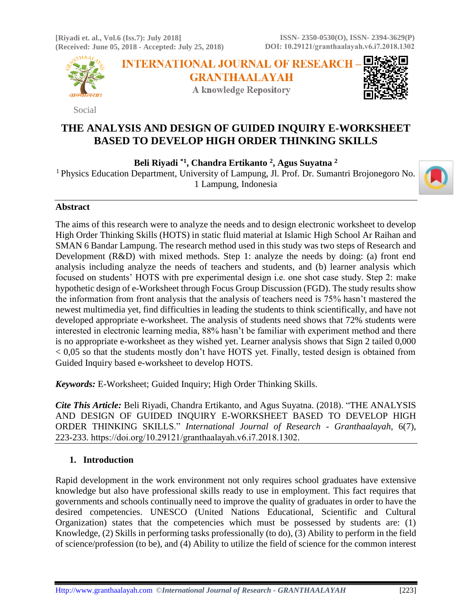**[Riyadi et. al., Vol.6 (Iss.7): July 2018] (Received: June 05, 2018 - Accepted: July 25, 2018)**



Social

**INTERNATIONAL JOURNAL OF RESEARCH GRANTHAALAYAH A knowledge Repository** 



# **THE ANALYSIS AND DESIGN OF GUIDED INQUIRY E-WORKSHEET BASED TO DEVELOP HIGH ORDER THINKING SKILLS**

**Beli Riyadi \*1, Chandra Ertikanto <sup>2</sup> , Agus Suyatna <sup>2</sup>**

<sup>1</sup> Physics Education Department, University of Lampung, Jl. Prof. Dr. Sumantri Brojonegoro No. 1 Lampung, Indonesia



## **Abstract**

The aims of this research were to analyze the needs and to design electronic worksheet to develop High Order Thinking Skills (HOTS) in static fluid material at Islamic High School Ar Raihan and SMAN 6 Bandar Lampung. The research method used in this study was two steps of Research and Development (R&D) with mixed methods. Step 1: analyze the needs by doing: (a) front end analysis including analyze the needs of teachers and students, and (b) learner analysis which focused on students' HOTS with pre experimental design i.e. one shot case study. Step 2: make hypothetic design of e-Worksheet through Focus Group Discussion (FGD). The study results show the information from front analysis that the analysis of teachers need is 75% hasn't mastered the newest multimedia yet, find difficulties in leading the students to think scientifically, and have not developed appropriate e-worksheet. The analysis of students need shows that 72% students were interested in electronic learning media, 88% hasn't be familiar with experiment method and there is no appropriate e-worksheet as they wished yet. Learner analysis shows that Sign 2 tailed 0,000 < 0,05 so that the students mostly don't have HOTS yet. Finally, tested design is obtained from Guided Inquiry based e-worksheet to develop HOTS.

*Keywords:* E-Worksheet; Guided Inquiry; High Order Thinking Skills.

*Cite This Article:* Beli Riyadi, Chandra Ertikanto, and Agus Suyatna. (2018). "THE ANALYSIS AND DESIGN OF GUIDED INQUIRY E-WORKSHEET BASED TO DEVELOP HIGH ORDER THINKING SKILLS." *International Journal of Research - Granthaalayah*, 6(7), 223-233. https://doi.org/10.29121/granthaalayah.v6.i7.2018.1302.

## **1. Introduction**

Rapid development in the work environment not only requires school graduates have extensive knowledge but also have professional skills ready to use in employment. This fact requires that governments and schools continually need to improve the quality of graduates in order to have the desired competencies. UNESCO (United Nations Educational, Scientific and Cultural Organization) states that the competencies which must be possessed by students are: (1) Knowledge, (2) Skills in performing tasks professionally (to do), (3) Ability to perform in the field of science/profession (to be), and (4) Ability to utilize the field of science for the common interest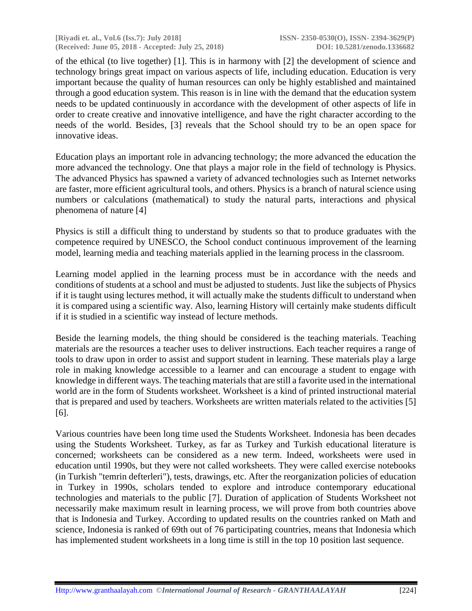**[Riyadi et. al., Vol.6 (Iss.7): July 2018] ISSN- 2350-0530(O), ISSN- 2394-3629(P) (Received: June 05, 2018 - Accepted: July 25, 2018) DOI: 10.5281/zenodo.1336682**

of the ethical (to live together) [1]. This is in harmony with [2] the development of science and technology brings great impact on various aspects of life, including education. Education is very important because the quality of human resources can only be highly established and maintained through a good education system. This reason is in line with the demand that the education system needs to be updated continuously in accordance with the development of other aspects of life in order to create creative and innovative intelligence, and have the right character according to the needs of the world. Besides, [3] reveals that the School should try to be an open space for innovative ideas.

Education plays an important role in advancing technology; the more advanced the education the more advanced the technology. One that plays a major role in the field of technology is Physics. The advanced Physics has spawned a variety of advanced technologies such as Internet networks are faster, more efficient agricultural tools, and others. Physics is a branch of natural science using numbers or calculations (mathematical) to study the natural parts, interactions and physical phenomena of nature [4]

Physics is still a difficult thing to understand by students so that to produce graduates with the competence required by UNESCO, the School conduct continuous improvement of the learning model, learning media and teaching materials applied in the learning process in the classroom.

Learning model applied in the learning process must be in accordance with the needs and conditions of students at a school and must be adjusted to students. Just like the subjects of Physics if it is taught using lectures method, it will actually make the students difficult to understand when it is compared using a scientific way. Also, learning History will certainly make students difficult if it is studied in a scientific way instead of lecture methods.

Beside the learning models, the thing should be considered is the teaching materials. Teaching materials are the resources a teacher uses to deliver instructions. Each teacher requires a range of tools to draw upon in order to assist and support student in learning. These materials play a large role in making knowledge accessible to a learner and can encourage a student to engage with knowledge in different ways. The teaching materials that are still a favorite used in the international world are in the form of Students worksheet. Worksheet is a kind of printed instructional material that is prepared and used by teachers. Worksheets are written materials related to the activities [5] [6].

Various countries have been long time used the Students Worksheet. Indonesia has been decades using the Students Worksheet. Turkey, as far as Turkey and Turkish educational literature is concerned; worksheets can be considered as a new term. Indeed, worksheets were used in education until 1990s, but they were not called worksheets. They were called exercise notebooks (in Turkish "temrin defterleri"), tests, drawings, etc. After the reorganization policies of education in Turkey in 1990s, scholars tended to explore and introduce contemporary educational technologies and materials to the public [7]. Duration of application of Students Worksheet not necessarily make maximum result in learning process, we will prove from both countries above that is Indonesia and Turkey. According to updated results on the countries ranked on Math and science, Indonesia is ranked of 69th out of 76 participating countries, means that Indonesia which has implemented student worksheets in a long time is still in the top 10 position last sequence.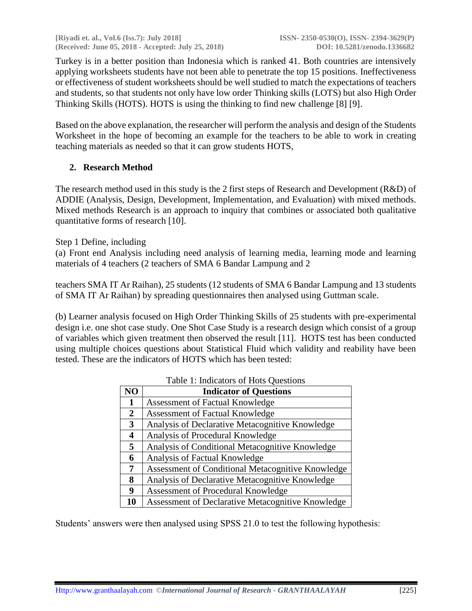**[Riyadi et. al., Vol.6 (Iss.7): July 2018] ISSN- 2350-0530(O), ISSN- 2394-3629(P) (Received: June 05, 2018 - Accepted: July 25, 2018) DOI: 10.5281/zenodo.1336682**

Turkey is in a better position than Indonesia which is ranked 41. Both countries are intensively applying worksheets students have not been able to penetrate the top 15 positions. Ineffectiveness or effectiveness of student worksheets should be well studied to match the expectations of teachers and students, so that students not only have low order Thinking skills (LOTS) but also High Order Thinking Skills (HOTS). HOTS is using the thinking to find new challenge [8] [9].

Based on the above explanation, the researcher will perform the analysis and design of the Students Worksheet in the hope of becoming an example for the teachers to be able to work in creating teaching materials as needed so that it can grow students HOTS,

## **2. Research Method**

The research method used in this study is the 2 first steps of Research and Development (R&D) of ADDIE (Analysis, Design, Development, Implementation, and Evaluation) with mixed methods. Mixed methods Research is an approach to inquiry that combines or associated both qualitative quantitative forms of research [10].

#### Step 1 Define, including

(a) Front end Analysis including need analysis of learning media, learning mode and learning materials of 4 teachers (2 teachers of SMA 6 Bandar Lampung and 2

teachers SMA IT Ar Raihan), 25 students (12 students of SMA 6 Bandar Lampung and 13 students of SMA IT Ar Raihan) by spreading questionnaires then analysed using Guttman scale.

(b) Learner analysis focused on High Order Thinking Skills of 25 students with pre-experimental design i.e. one shot case study. One Shot Case Study is a research design which consist of a group of variables which given treatment then observed the result [11]. HOTS test has been conducted using multiple choices questions about Statistical Fluid which validity and reability have been tested. These are the indicators of HOTS which has been tested:

|                | Table 1. Indicators of Hots Outstrons                    |  |  |  |
|----------------|----------------------------------------------------------|--|--|--|
| N <sub>O</sub> | <b>Indicator of Questions</b>                            |  |  |  |
| $\mathbf{1}$   | <b>Assessment of Factual Knowledge</b>                   |  |  |  |
| $\mathbf{2}$   | Assessment of Factual Knowledge                          |  |  |  |
| $3^{\circ}$    | Analysis of Declarative Metacognitive Knowledge          |  |  |  |
| 4              | Analysis of Procedural Knowledge                         |  |  |  |
| 5              | Analysis of Conditional Metacognitive Knowledge          |  |  |  |
| 6              | Analysis of Factual Knowledge                            |  |  |  |
| $\overline{7}$ | Assessment of Conditional Metacognitive Knowledge        |  |  |  |
| 8              | Analysis of Declarative Metacognitive Knowledge          |  |  |  |
| 9              | <b>Assessment of Procedural Knowledge</b>                |  |  |  |
| 10             | <b>Assessment of Declarative Metacognitive Knowledge</b> |  |  |  |

#### Table 1: Indicators of Hots Questions

Students' answers were then analysed using SPSS 21.0 to test the following hypothesis: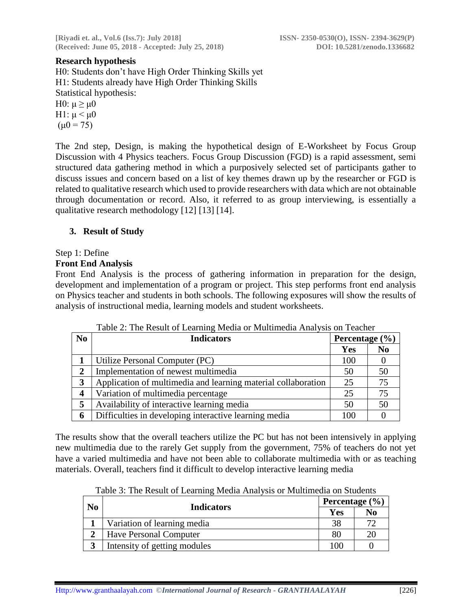## **Research hypothesis**

H0: Students don't have High Order Thinking Skills yet H1: Students already have High Order Thinking Skills Statistical hypothesis:

H0:  $\mu \geq \mu$ 0 H1:  $\mu$  <  $\mu$ 0  $(\mu 0 = 75)$ 

The 2nd step, Design, is making the hypothetical design of E-Worksheet by Focus Group Discussion with 4 Physics teachers. Focus Group Discussion (FGD) is a rapid assessment, semi structured data gathering method in which a purposively selected set of participants gather to discuss issues and concern based on a list of key themes drawn up by the researcher or FGD is related to qualitative research which used to provide researchers with data which are not obtainable through documentation or record. Also, it referred to as group interviewing, is essentially a qualitative research methodology [12] [13] [14].

## **3. Result of Study**

## Step 1: Define

#### **Front End Analysis**

Front End Analysis is the process of gathering information in preparation for the design, development and implementation of a program or project. This step performs front end analysis on Physics teacher and students in both schools. The following exposures will show the results of analysis of instructional media, learning models and student worksheets.

| N <sub>o</sub> | <b>Indicators</b>                                             | Percentage $(\% )$ |                |
|----------------|---------------------------------------------------------------|--------------------|----------------|
|                |                                                               | <b>Yes</b>         | N <sub>0</sub> |
|                | Utilize Personal Computer (PC)                                | 100                |                |
| $\mathbf{2}$   | Implementation of newest multimedia                           | 50                 | 50             |
| 3              | Application of multimedia and learning material collaboration | 25                 | 75             |
| 4              | Variation of multimedia percentage                            | 25                 |                |
| 5              | Availability of interactive learning media                    | 50                 | 50             |
| 6              | Difficulties in developing interactive learning media         | 100                |                |

Table 2: The Result of Learning Media or Multimedia Analysis on Teacher

The results show that the overall teachers utilize the PC but has not been intensively in applying new multimedia due to the rarely Get supply from the government, 75% of teachers do not yet have a varied multimedia and have not been able to collaborate multimedia with or as teaching materials. Overall, teachers find it difficult to develop interactive learning media

Table 3: The Result of Learning Media Analysis or Multimedia on Students

| No |                               |     | Percentage $(\% )$ |  |  |
|----|-------------------------------|-----|--------------------|--|--|
|    | <b>Indicators</b>             | Yes | N <sub>0</sub>     |  |  |
|    | Variation of learning media   | 38  | 70                 |  |  |
|    | <b>Have Personal Computer</b> | 80  | 20                 |  |  |
| 3  | Intensity of getting modules  | 100 |                    |  |  |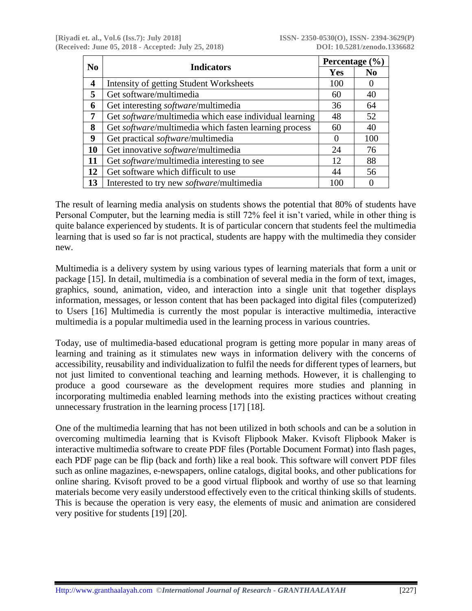|    | <b>Indicators</b><br>No                                       |                  | Percentage $(\% )$ |  |  |
|----|---------------------------------------------------------------|------------------|--------------------|--|--|
|    |                                                               |                  | $\bf No$           |  |  |
| 4  | <b>Intensity of getting Student Worksheets</b>                | 100              | O                  |  |  |
| 5  | Get software/multimedia                                       | 60               | 40                 |  |  |
| 6  | Get interesting <i>software</i> /multimedia                   | 36               | 64                 |  |  |
| 7  | Get software/multimedia which ease individual learning        | 48               | 52                 |  |  |
| 8  | Get <i>software</i> /multimedia which fasten learning process | 60               | 40                 |  |  |
| 9  | Get practical software/multimedia                             | $\left( \right)$ | 100                |  |  |
| 10 | Get innovative software/multimedia                            | 24               | 76                 |  |  |
| 11 | Get <i>software</i> /multimedia interesting to see            | 12               | 88                 |  |  |
| 12 | Get software which difficult to use                           | 44               | 56                 |  |  |
| 13 | Interested to try new <i>software</i> /multimedia             | 100              |                    |  |  |

The result of learning media analysis on students shows the potential that 80% of students have Personal Computer, but the learning media is still 72% feel it isn't varied, while in other thing is quite balance experienced by students. It is of particular concern that students feel the multimedia learning that is used so far is not practical, students are happy with the multimedia they consider new.

Multimedia is a delivery system by using various types of learning materials that form a unit or package [15]. In detail, multimedia is a combination of several media in the form of text, images, graphics, sound, animation, video, and interaction into a single unit that together displays information, messages, or lesson content that has been packaged into digital files (computerized) to Users [16] Multimedia is currently the most popular is interactive multimedia, interactive multimedia is a popular multimedia used in the learning process in various countries.

Today, use of multimedia-based educational program is getting more popular in many areas of learning and training as it stimulates new ways in information delivery with the concerns of accessibility, reusability and individualization to fulfil the needs for different types of learners, but not just limited to conventional teaching and learning methods. However, it is challenging to produce a good courseware as the development requires more studies and planning in incorporating multimedia enabled learning methods into the existing practices without creating unnecessary frustration in the learning process [17] [18].

One of the multimedia learning that has not been utilized in both schools and can be a solution in overcoming multimedia learning that is Kvisoft Flipbook Maker. Kvisoft Flipbook Maker is interactive multimedia software to create PDF files (Portable Document Format) into flash pages, each PDF page can be flip (back and forth) like a real book. This software will convert PDF files such as online magazines, e-newspapers, online catalogs, digital books, and other publications for online sharing. Kvisoft proved to be a good virtual flipbook and worthy of use so that learning materials become very easily understood effectively even to the critical thinking skills of students. This is because the operation is very easy, the elements of music and animation are considered very positive for students [19] [20].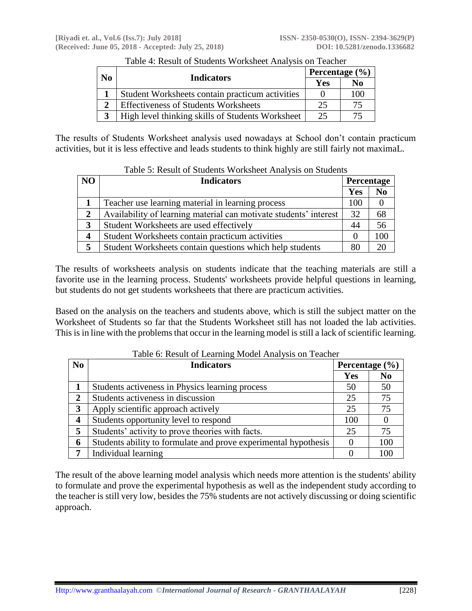| No            |                                                  | Percentage $(\% )$ |     |  |
|---------------|--------------------------------------------------|--------------------|-----|--|
|               | <b>Indicators</b>                                | Yes                | No  |  |
|               | Student Worksheets contain practicum activities  |                    | 100 |  |
| $\mathcal{D}$ | <b>Effectiveness of Students Worksheets</b>      |                    | 75  |  |
| 3             | High level thinking skills of Students Worksheet | 25                 |     |  |

## Table 4: Result of Students Worksheet Analysis on Teacher

The results of Students Worksheet analysis used nowadays at School don't contain practicum activities, but it is less effective and leads students to think highly are still fairly not maximaL.

| N <sub>O</sub> | <b>Indicators</b>                                                 |            | Percentage     |  |
|----------------|-------------------------------------------------------------------|------------|----------------|--|
|                |                                                                   | <b>Yes</b> | N <sub>0</sub> |  |
|                | Teacher use learning material in learning process                 | 100        |                |  |
| 2              | Availability of learning material can motivate students' interest | 32         | 68             |  |
| 3              | Student Worksheets are used effectively                           | 44         | 56             |  |
| 4              | Student Worksheets contain practicum activities                   | $\theta$   | 100            |  |
|                | Student Worksheets contain questions which help students          | 80         |                |  |

## Table 5: Result of Students Worksheet Analysis on Students

The results of worksheets analysis on students indicate that the teaching materials are still a favorite use in the learning process. Students' worksheets provide helpful questions in learning, but students do not get students worksheets that there are practicum activities.

Based on the analysis on the teachers and students above, which is still the subject matter on the Worksheet of Students so far that the Students Worksheet still has not loaded the lab activities. This is in line with the problems that occur in the learning model is still a lack of scientific learning.

| No               | <b>Indicators</b>                                               | Percentage $(\% )$ |                |
|------------------|-----------------------------------------------------------------|--------------------|----------------|
|                  |                                                                 | Yes                | N <sub>0</sub> |
|                  | Students activeness in Physics learning process                 | 50                 | 50             |
| $\overline{2}$   | Students activeness in discussion                               | 25                 | 75             |
| 3                | Apply scientific approach actively                              | 25                 | 75             |
| $\boldsymbol{4}$ | Students opportunity level to respond                           | 100                |                |
| 5                | Students' activity to prove theories with facts.                | 25                 | 75             |
| 6                | Students ability to formulate and prove experimental hypothesis |                    | 100            |
|                  | Individual learning                                             |                    | 100            |

Table 6: Result of Learning Model Analysis on Teacher

The result of the above learning model analysis which needs more attention is the students' ability to formulate and prove the experimental hypothesis as well as the independent study according to the teacher is still very low, besides the 75% students are not actively discussing or doing scientific approach.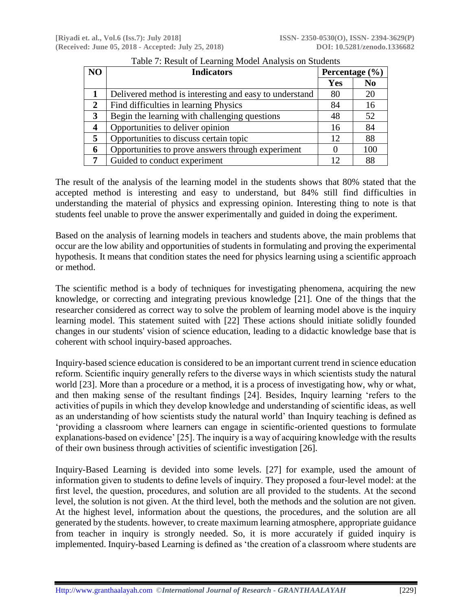| NO                      | <b>Indicators</b>                                      | Percentage $(\% )$ |                |
|-------------------------|--------------------------------------------------------|--------------------|----------------|
|                         |                                                        | Yes                | N <sub>0</sub> |
|                         | Delivered method is interesting and easy to understand | 80                 | 20             |
| 2                       | Find difficulties in learning Physics                  | 84                 | 16             |
| 3                       | Begin the learning with challenging questions          | 48                 | 52             |
| $\overline{\mathbf{4}}$ | Opportunities to deliver opinion                       | 16                 | 84             |
| 5                       | Opportunities to discuss certain topic                 | 12                 | 88             |
| 6                       | Opportunities to prove answers through experiment      |                    | 100            |
|                         | Guided to conduct experiment                           | 12                 | 88             |

| Table 7: Result of Learning Model Analysis on Students |  |  |
|--------------------------------------------------------|--|--|
|                                                        |  |  |

The result of the analysis of the learning model in the students shows that 80% stated that the accepted method is interesting and easy to understand, but 84% still find difficulties in understanding the material of physics and expressing opinion. Interesting thing to note is that students feel unable to prove the answer experimentally and guided in doing the experiment.

Based on the analysis of learning models in teachers and students above, the main problems that occur are the low ability and opportunities of students in formulating and proving the experimental hypothesis. It means that condition states the need for physics learning using a scientific approach or method.

The scientific method is a body of techniques for investigating phenomena, acquiring the new knowledge, or correcting and integrating previous knowledge [21]. One of the things that the researcher considered as correct way to solve the problem of learning model above is the inquiry learning model. This statement suited with [22] These actions should initiate solidly founded changes in our students' vision of science education, leading to a didactic knowledge base that is coherent with school inquiry-based approaches.

Inquiry-based science education is considered to be an important current trend in science education reform. Scientific inquiry generally refers to the diverse ways in which scientists study the natural world [23]. More than a procedure or a method, it is a process of investigating how, why or what, and then making sense of the resultant findings [24]. Besides, Inquiry learning 'refers to the activities of pupils in which they develop knowledge and understanding of scientific ideas, as well as an understanding of how scientists study the natural world' than Inquiry teaching is defined as 'providing a classroom where learners can engage in scientific-oriented questions to formulate explanations-based on evidence' [25]. The inquiry is a way of acquiring knowledge with the results of their own business through activities of scientific investigation [26].

Inquiry-Based Learning is devided into some levels. [27] for example, used the amount of information given to students to define levels of inquiry. They proposed a four-level model: at the first level, the question, procedures, and solution are all provided to the students. At the second level, the solution is not given. At the third level, both the methods and the solution are not given. At the highest level, information about the questions, the procedures, and the solution are all generated by the students. however, to create maximum learning atmosphere, appropriate guidance from teacher in inquiry is strongly needed. So, it is more accurately if guided inquiry is implemented. Inquiry-based Learning is defined as 'the creation of a classroom where students are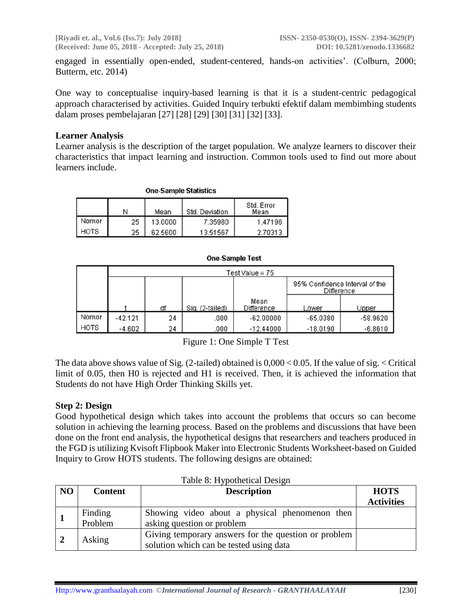**[Riyadi et. al., Vol.6 (Iss.7): July 2018] ISSN- 2350-0530(O), ISSN- 2394-3629(P) (Received: June 05, 2018 - Accepted: July 25, 2018) DOI: 10.5281/zenodo.1336682**

engaged in essentially open-ended, student-centered, hands-on activities'. (Colburn, 2000; Butterm, etc. 2014)

One way to conceptualise inquiry-based learning is that it is a student-centric pedagogical approach characterised by activities. Guided Inquiry terbukti efektif dalam membimbing students dalam proses pembelajaran [27] [28] [29] [30] [31] [32] [33].

#### **Learner Analysis**

Learner analysis is the description of the target population. We analyze learners to discover their characteristics that impact learning and instruction. Common tools used to find out more about learners include.

| <b>UILE-SCILING STATISTICS</b> |    |         |                |                    |  |  |
|--------------------------------|----|---------|----------------|--------------------|--|--|
|                                | N  | Mean    | Std. Deviation | Std. Error<br>Mean |  |  |
| Nomor                          | 25 | 13.0000 | 7.35980        | 1.47196            |  |  |
| HOTS                           | 25 | 62.5600 | 13.51567       | 2.70313            |  |  |

One Concula Chatication

#### **One-Sample Test**

|       | Test Value = 75 |    |                 |                    |                                              |            |
|-------|-----------------|----|-----------------|--------------------|----------------------------------------------|------------|
|       |                 |    |                 |                    | 95% Confidence Interval of the<br>Difference |            |
|       |                 | df | Sig. (2-tailed) | Mean<br>Difference | Lower                                        | Upper      |
| Nomor | $-42.121$       | 24 | .000            | $-62.00000$        | $-65.0380$                                   | $-58.9620$ |
| HOTS  | $-4.602$        | 24 | .000            | $-12.44000$        | $-18.0190$                                   | $-6.8610$  |

Figure 1: One Simple T Test

The data above shows value of Sig. (2-tailed) obtained is  $0,000 < 0.05$ . If the value of sig.  $\leq$  Critical limit of 0.05, then H0 is rejected and H1 is received. Then, it is achieved the information that Students do not have High Order Thinking Skills yet.

#### **Step 2: Design**

Good hypothetical design which takes into account the problems that occurs so can become solution in achieving the learning process. Based on the problems and discussions that have been done on the front end analysis, the hypothetical designs that researchers and teachers produced in the FGD is utilizing Kvisoft Flipbook Maker into Electronic Students Worksheet-based on Guided Inquiry to Grow HOTS students. The following designs are obtained:

| NO | <b>Content</b>     | <b>Description</b>                                                                              | <b>HOTS</b><br><b>Activities</b> |
|----|--------------------|-------------------------------------------------------------------------------------------------|----------------------------------|
|    | Finding<br>Problem | Showing video about a physical phenomenon then<br>asking question or problem                    |                                  |
|    | Asking             | Giving temporary answers for the question or problem<br>solution which can be tested using data |                                  |

## Table 8: Hypothetical Design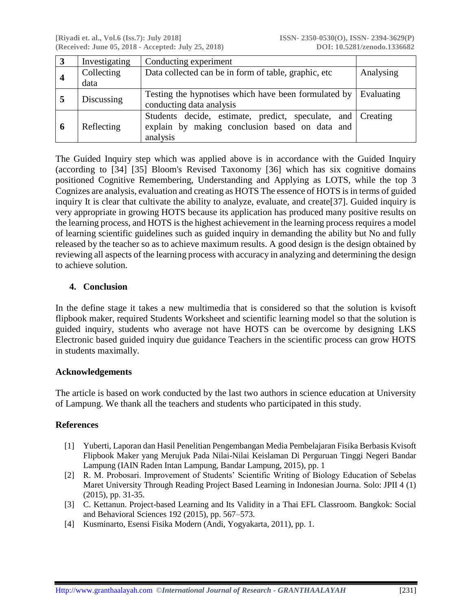| $\boldsymbol{3}$ | Investigating | Conducting experiment                                           |           |
|------------------|---------------|-----------------------------------------------------------------|-----------|
|                  | Collecting    | Data collected can be in form of table, graphic, etc            | Analysing |
|                  | data          |                                                                 |           |
| 5                | Discussing    | Testing the hypnotises which have been formulated by Evaluating |           |
|                  |               | conducting data analysis                                        |           |
|                  |               | Students decide, estimate, predict, speculate, and Creating     |           |
| 6                | Reflecting    | explain by making conclusion based on data and                  |           |
|                  |               | analysis                                                        |           |

The Guided Inquiry step which was applied above is in accordance with the Guided Inquiry (according to [34] [35] Bloom's Revised Taxonomy [36] which has six cognitive domains positioned Cognitive Remembering, Understanding and Applying as LOTS, while the top 3 Cognizes are analysis, evaluation and creating as HOTS The essence of HOTS is in terms of guided inquiry It is clear that cultivate the ability to analyze, evaluate, and create[37]. Guided inquiry is very appropriate in growing HOTS because its application has produced many positive results on the learning process, and HOTS is the highest achievement in the learning process requires a model of learning scientific guidelines such as guided inquiry in demanding the ability but No and fully released by the teacher so as to achieve maximum results. A good design is the design obtained by reviewing all aspects of the learning process with accuracy in analyzing and determining the design to achieve solution.

## **4. Conclusion**

In the define stage it takes a new multimedia that is considered so that the solution is kvisoft flipbook maker, required Students Worksheet and scientific learning model so that the solution is guided inquiry, students who average not have HOTS can be overcome by designing LKS Electronic based guided inquiry due guidance Teachers in the scientific process can grow HOTS in students maximally.

#### **Acknowledgements**

The article is based on work conducted by the last two authors in science education at University of Lampung. We thank all the teachers and students who participated in this study.

## **References**

- [1] Yuberti, Laporan dan Hasil Penelitian Pengembangan Media Pembelajaran Fisika Berbasis Kvisoft Flipbook Maker yang Merujuk Pada Nilai-Nilai Keislaman Di Perguruan Tinggi Negeri Bandar Lampung (IAIN Raden Intan Lampung, Bandar Lampung, 2015), pp. 1
- [2] R. M. Probosari. Improvement of Students' Scientific Writing of Biology Education of Sebelas Maret University Through Reading Project Based Learning in Indonesian Journa. Solo: JPII 4 (1) (2015), pp. 31-35.
- [3] C. Kettanun. Project-based Learning and Its Validity in a Thai EFL Classroom. Bangkok: Social and Behavioral Sciences 192 (2015), pp. 567–573.
- [4] Kusminarto, Esensi Fisika Modern (Andi, Yogyakarta, 2011), pp. 1.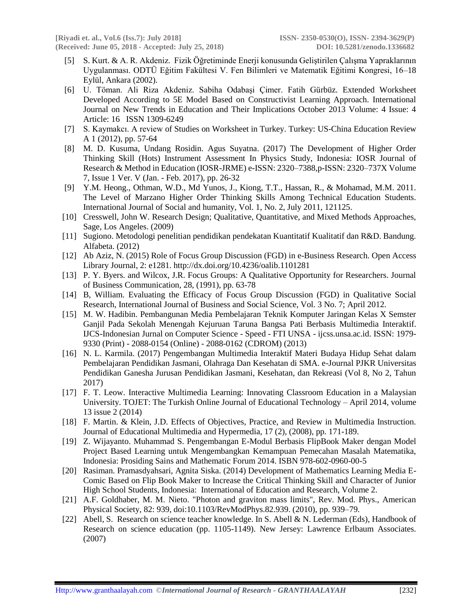- [5] S. Kurt. & A. R. Akdeniz. Fizik Öğretiminde Enerji konusunda Geliştirilen Çalışma Yapraklarının Uygulanması. ODTÜ Eğitim Fakültesi V. Fen Bilimleri ve Matematik Eğitimi Kongresi, 16–18 Eylül, Ankara (2002).
- [6] U. Töman. Ali Riza Akdeniz. Sabiha Odabaşi Çimer. Fatih Gürbüz. Extended Worksheet Developed According to 5E Model Based on Constructivist Learning Approach. International Journal on New Trends in Education and Their Implications October 2013 Volume: 4 Issue: 4 Article: 16 ISSN 1309-6249
- [7] S. Kaymakcı. A review of Studies on Worksheet in Turkey. Turkey: US-China Education Review A 1 (2012), pp. 57-64
- [8] M. D. Kusuma, Undang Rosidin. Agus Suyatna. (2017) The Development of Higher Order Thinking Skill (Hots) Instrument Assessment In Physics Study, Indonesia: IOSR Journal of Research & Method in Education (IOSR-JRME) e-ISSN: 2320–7388,p-ISSN: 2320–737X Volume 7, Issue 1 Ver. V (Jan. - Feb. 2017), pp. 26-32
- [9] Y.M. Heong., Othman, W.D., Md Yunos, J., Kiong, T.T., Hassan, R., & Mohamad, M.M. 2011. The Level of Marzano Higher Order Thinking Skills Among Technical Education Students. International Journal of Social and humanity, Vol. 1, No. 2, July 2011, 121125.
- [10] Cresswell, John W. Research Design; Qualitative, Quantitative, and Mixed Methods Approaches, Sage, Los Angeles. (2009)
- [11] Sugiono. Metodologi penelitian pendidikan pendekatan Kuantitatif Kualitatif dan R&D. Bandung. Alfabeta. (2012)
- [12] Ab Aziz, N. (2015) Role of Focus Group Discussion (FGD) in e-Business Research. Open Access Library Journal, 2: e1281. http://dx.doi.org/10.4236/oalib.1101281
- [13] P. Y. Byers. and Wilcox, J.R. Focus Groups: A Qualitative Opportunity for Researchers. Journal of Business Communication, 28, (1991), pp. 63-78
- [14] B, William. Evaluating the Efficacy of Focus Group Discussion (FGD) in Qualitative Social Research, International Journal of Business and Social Science, Vol. 3 No. 7; April 2012.
- [15] M. W. Hadibin. Pembangunan Media Pembelajaran Teknik Komputer Jaringan Kelas X Semster Ganjil Pada Sekolah Menengah Kejuruan Taruna Bangsa Pati Berbasis Multimedia Interaktif. IJCS-Indonesian Jurnal on Computer Science - Speed - FTI UNSA - ijcss.unsa.ac.id. ISSN: 1979- 9330 (Print) - 2088-0154 (Online) - 2088-0162 (CDROM) (2013)
- [16] N. L. Karmila. (2017) Pengembangan Multimedia Interaktif Materi Budaya Hidup Sehat dalam Pembelajaran Pendidikan Jasmani, Olahraga Dan Kesehatan di SMA. e-Journal PJKR Universitas Pendidikan Ganesha Jurusan Pendidikan Jasmani, Kesehatan, dan Rekreasi (Vol 8, No 2, Tahun 2017)
- [17] F. T. Leow. Interactive Multimedia Learning: Innovating Classroom Education in a Malaysian University. TOJET: The Turkish Online Journal of Educational Technology – April 2014, volume 13 issue 2 (2014)
- [18] F. Martin. & Klein, J.D. Effects of Objectives, Practice, and Review in Multimedia Instruction. Journal of Educational Multimedia and Hypermedia, 17 (2), (2008), pp. 171-189.
- [19] Z. Wijayanto. Muhammad S. Pengembangan E-Modul Berbasis FlipBook Maker dengan Model Project Based Learning untuk Mengembangkan Kemampuan Pemecahan Masalah Matematika, Indonesia: Prosiding Sains and Mathematic Forum 2014. ISBN 978-602-0960-00-5
- [20] Rasiman. Pramasdyahsari, Agnita Siska. (2014) Development of Mathematics Learning Media E-Comic Based on Flip Book Maker to Increase the Critical Thinking Skill and Character of Junior High School Students, Indonesia: International of Education and Research, Volume 2.
- [21] A.F. Goldhaber, M. M. Nieto. "Photon and graviton mass limits", Rev. Mod. Phys., American Physical Society, 82: 939, doi:10.1103/RevModPhys.82.939. (2010), pp. 939–79.
- [22] Abell, S. Research on science teacher knowledge. In S. Abell & N. Lederman (Eds), Handbook of Research on science education (pp. 1105-1149). New Jersey: Lawrence Erlbaum Associates. (2007)